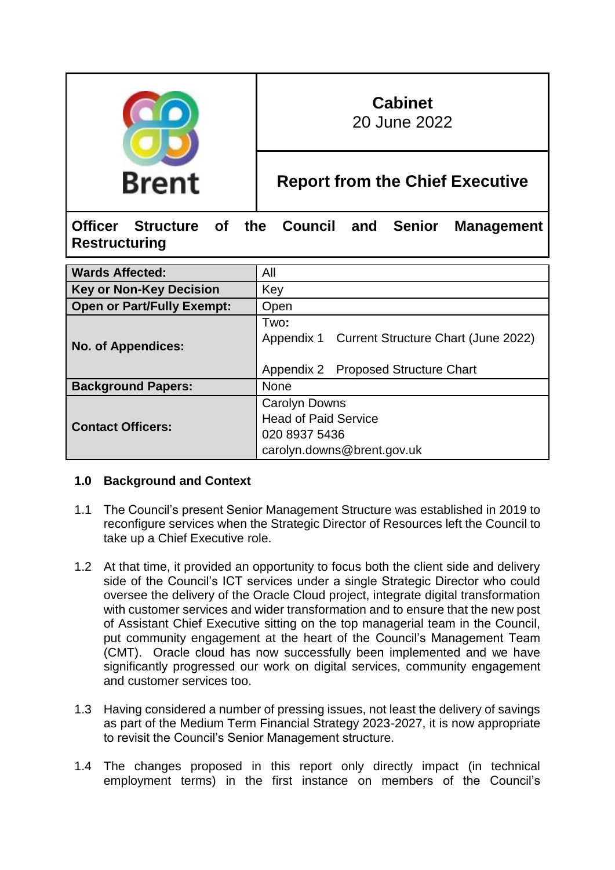

# **Cabinet**

20 June 2022

# **Report from the Chief Executive**

**Officer Structure of the Council and Senior Management Restructuring**

| <b>Wards Affected:</b>            | All                                                    |
|-----------------------------------|--------------------------------------------------------|
| <b>Key or Non-Key Decision</b>    | Key                                                    |
| <b>Open or Part/Fully Exempt:</b> | Open                                                   |
| <b>No. of Appendices:</b>         | Two:<br>Appendix 1 Current Structure Chart (June 2022) |
|                                   | Appendix 2 Proposed Structure Chart                    |
| <b>Background Papers:</b>         | <b>None</b>                                            |
|                                   |                                                        |
|                                   | <b>Carolyn Downs</b>                                   |
|                                   | <b>Head of Paid Service</b>                            |
| <b>Contact Officers:</b>          | 020 8937 5436                                          |

# **1.0 Background and Context**

- 1.1 The Council's present Senior Management Structure was established in 2019 to reconfigure services when the Strategic Director of Resources left the Council to take up a Chief Executive role.
- 1.2 At that time, it provided an opportunity to focus both the client side and delivery side of the Council's ICT services under a single Strategic Director who could oversee the delivery of the Oracle Cloud project, integrate digital transformation with customer services and wider transformation and to ensure that the new post of Assistant Chief Executive sitting on the top managerial team in the Council, put community engagement at the heart of the Council's Management Team (CMT). Oracle cloud has now successfully been implemented and we have significantly progressed our work on digital services, community engagement and customer services too.
- 1.3 Having considered a number of pressing issues, not least the delivery of savings as part of the Medium Term Financial Strategy 2023-2027, it is now appropriate to revisit the Council's Senior Management structure.
- 1.4 The changes proposed in this report only directly impact (in technical employment terms) in the first instance on members of the Council's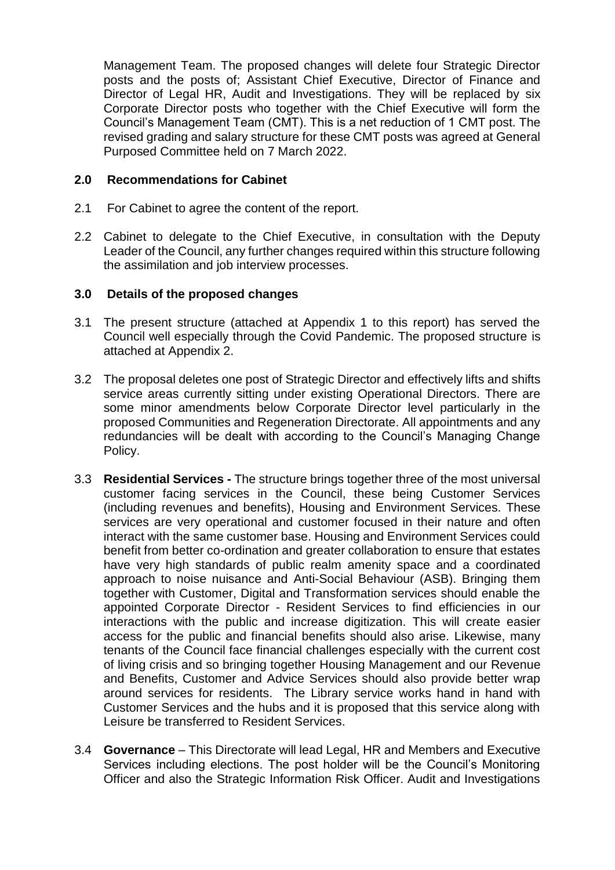Management Team. The proposed changes will delete four Strategic Director posts and the posts of; Assistant Chief Executive, Director of Finance and Director of Legal HR, Audit and Investigations. They will be replaced by six Corporate Director posts who together with the Chief Executive will form the Council's Management Team (CMT). This is a net reduction of 1 CMT post. The revised grading and salary structure for these CMT posts was agreed at General Purposed Committee held on 7 March 2022.

#### **2.0 Recommendations for Cabinet**

- 2.1 For Cabinet to agree the content of the report.
- 2.2 Cabinet to delegate to the Chief Executive, in consultation with the Deputy Leader of the Council, any further changes required within this structure following the assimilation and job interview processes.

#### **3.0 Details of the proposed changes**

- 3.1 The present structure (attached at Appendix 1 to this report) has served the Council well especially through the Covid Pandemic. The proposed structure is attached at Appendix 2.
- 3.2 The proposal deletes one post of Strategic Director and effectively lifts and shifts service areas currently sitting under existing Operational Directors. There are some minor amendments below Corporate Director level particularly in the proposed Communities and Regeneration Directorate. All appointments and any redundancies will be dealt with according to the Council's Managing Change Policy.
- 3.3 **Residential Services -** The structure brings together three of the most universal customer facing services in the Council, these being Customer Services (including revenues and benefits), Housing and Environment Services. These services are very operational and customer focused in their nature and often interact with the same customer base. Housing and Environment Services could benefit from better co-ordination and greater collaboration to ensure that estates have very high standards of public realm amenity space and a coordinated approach to noise nuisance and Anti-Social Behaviour (ASB). Bringing them together with Customer, Digital and Transformation services should enable the appointed Corporate Director - Resident Services to find efficiencies in our interactions with the public and increase digitization. This will create easier access for the public and financial benefits should also arise. Likewise, many tenants of the Council face financial challenges especially with the current cost of living crisis and so bringing together Housing Management and our Revenue and Benefits, Customer and Advice Services should also provide better wrap around services for residents. The Library service works hand in hand with Customer Services and the hubs and it is proposed that this service along with Leisure be transferred to Resident Services.
- 3.4 **Governance** This Directorate will lead Legal, HR and Members and Executive Services including elections. The post holder will be the Council's Monitoring Officer and also the Strategic Information Risk Officer. Audit and Investigations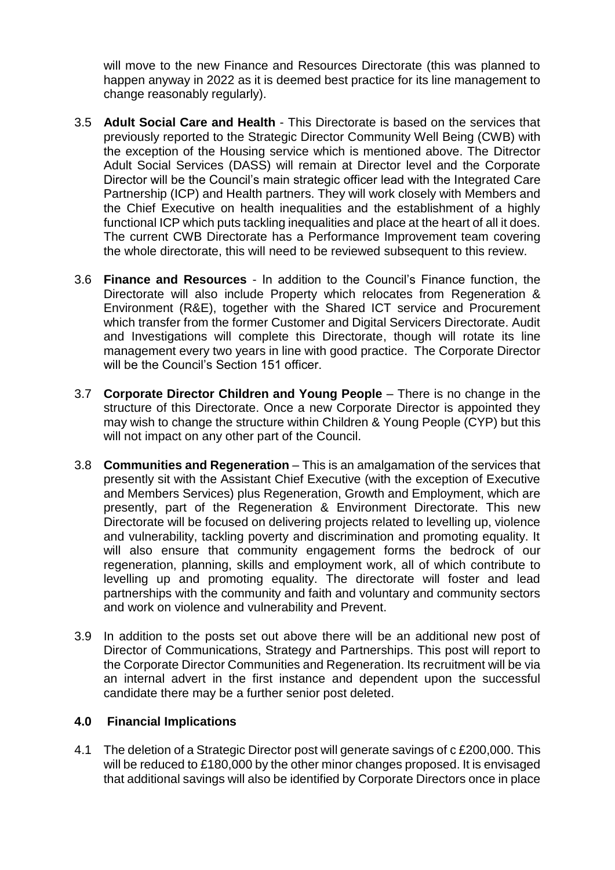will move to the new Finance and Resources Directorate (this was planned to happen anyway in 2022 as it is deemed best practice for its line management to change reasonably regularly).

- 3.5 **Adult Social Care and Health** This Directorate is based on the services that previously reported to the Strategic Director Community Well Being (CWB) with the exception of the Housing service which is mentioned above. The Ditrector Adult Social Services (DASS) will remain at Director level and the Corporate Director will be the Council's main strategic officer lead with the Integrated Care Partnership (ICP) and Health partners. They will work closely with Members and the Chief Executive on health inequalities and the establishment of a highly functional ICP which puts tackling inequalities and place at the heart of all it does. The current CWB Directorate has a Performance Improvement team covering the whole directorate, this will need to be reviewed subsequent to this review.
- 3.6 **Finance and Resources** In addition to the Council's Finance function, the Directorate will also include Property which relocates from Regeneration & Environment (R&E), together with the Shared ICT service and Procurement which transfer from the former Customer and Digital Servicers Directorate. Audit and Investigations will complete this Directorate, though will rotate its line management every two years in line with good practice. The Corporate Director will be the Council's Section 151 officer.
- 3.7 **Corporate Director Children and Young People** There is no change in the structure of this Directorate. Once a new Corporate Director is appointed they may wish to change the structure within Children & Young People (CYP) but this will not impact on any other part of the Council.
- 3.8 **Communities and Regeneration** This is an amalgamation of the services that presently sit with the Assistant Chief Executive (with the exception of Executive and Members Services) plus Regeneration, Growth and Employment, which are presently, part of the Regeneration & Environment Directorate. This new Directorate will be focused on delivering projects related to levelling up, violence and vulnerability, tackling poverty and discrimination and promoting equality. It will also ensure that community engagement forms the bedrock of our regeneration, planning, skills and employment work, all of which contribute to levelling up and promoting equality. The directorate will foster and lead partnerships with the community and faith and voluntary and community sectors and work on violence and vulnerability and Prevent.
- 3.9 In addition to the posts set out above there will be an additional new post of Director of Communications, Strategy and Partnerships. This post will report to the Corporate Director Communities and Regeneration. Its recruitment will be via an internal advert in the first instance and dependent upon the successful candidate there may be a further senior post deleted.

#### **4.0 Financial Implications**

4.1 The deletion of a Strategic Director post will generate savings of c £200,000. This will be reduced to £180,000 by the other minor changes proposed. It is envisaged that additional savings will also be identified by Corporate Directors once in place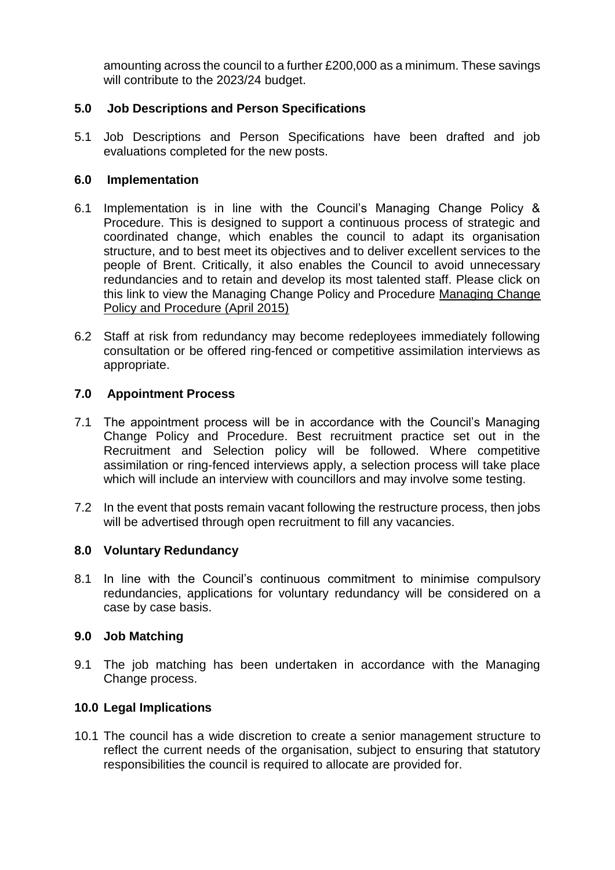amounting across the council to a further £200,000 as a minimum. These savings will contribute to the 2023/24 budget.

## **5.0 Job Descriptions and Person Specifications**

5.1 Job Descriptions and Person Specifications have been drafted and job evaluations completed for the new posts.

#### **6.0 Implementation**

- 6.1 Implementation is in line with the Council's Managing Change Policy & Procedure. This is designed to support a continuous process of strategic and coordinated change, which enables the council to adapt its organisation structure, and to best meet its objectives and to deliver excellent services to the people of Brent. Critically, it also enables the Council to avoid unnecessary redundancies and to retain and develop its most talented staff. Please click on this link to view the Managing Change Policy and Procedure [Managing Change](https://lbdigitalservices.sharepoint.com/sites/intranet/coo/cbs/HR/pp/Pages/Managing%2520Change/Managing-Change.aspx)  [Policy and Procedure \(April 2015\)](https://lbdigitalservices.sharepoint.com/sites/intranet/coo/cbs/HR/pp/Pages/Managing%2520Change/Managing-Change.aspx)
- 6.2 Staff at risk from redundancy may become redeployees immediately following consultation or be offered ring-fenced or competitive assimilation interviews as appropriate.

#### **7.0 Appointment Process**

- 7.1 The appointment process will be in accordance with the Council's Managing Change Policy and Procedure. Best recruitment practice set out in the Recruitment and Selection policy will be followed. Where competitive assimilation or ring-fenced interviews apply, a selection process will take place which will include an interview with councillors and may involve some testing.
- 7.2 In the event that posts remain vacant following the restructure process, then jobs will be advertised through open recruitment to fill any vacancies.

#### **8.0 Voluntary Redundancy**

8.1 In line with the Council's continuous commitment to minimise compulsory redundancies, applications for voluntary redundancy will be considered on a case by case basis.

#### **9.0 Job Matching**

9.1 The job matching has been undertaken in accordance with the Managing Change process.

#### **10.0 Legal Implications**

10.1 The council has a wide discretion to create a senior management structure to reflect the current needs of the organisation, subject to ensuring that statutory responsibilities the council is required to allocate are provided for.